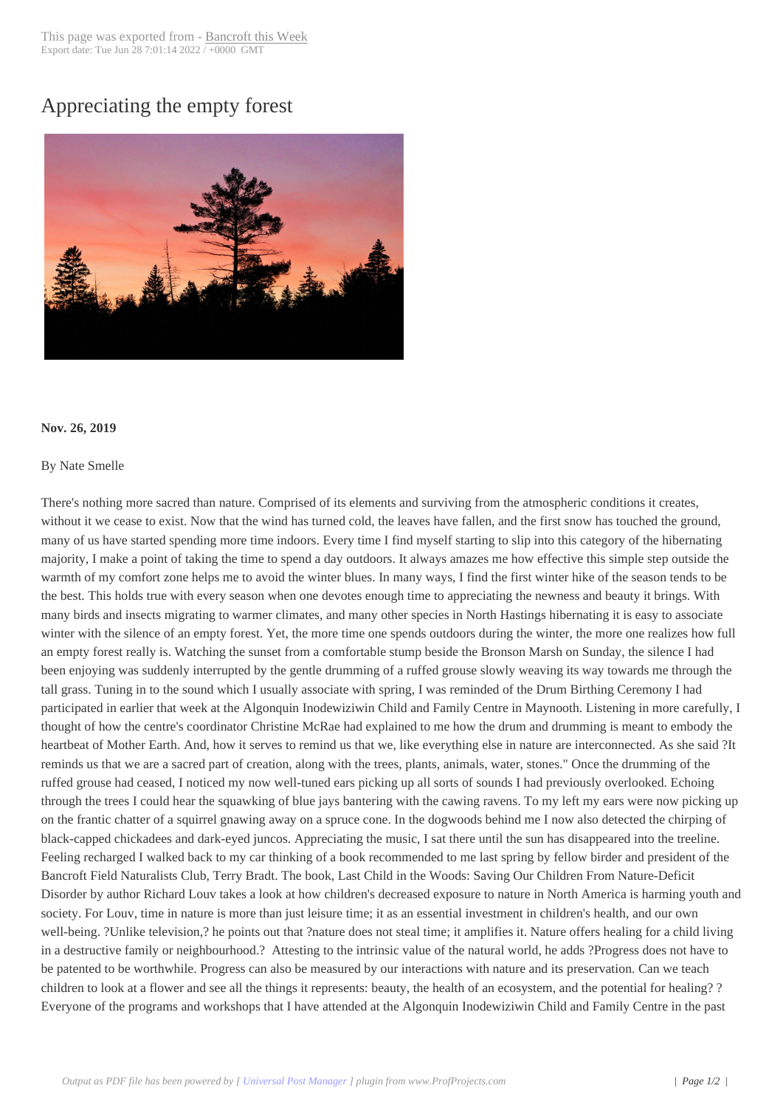## Appreciating the e[mpty forest](http://www.bancroftthisweek.com/?p=10144)



## **Nov. 26, 2019**

## By Nate Smelle

There's nothing more sacred than nature. Comprised of its elements and surviving from the atmospheric conditions it creates, without it we cease to exist. Now that the wind has turned cold, the leaves have fallen, and the first snow has touched the ground, many of us have started spending more time indoors. Every time I find myself starting to slip into this category of the hibernating majority, I make a point of taking the time to spend a day outdoors. It always amazes me how effective this simple step outside the warmth of my comfort zone helps me to avoid the winter blues. In many ways, I find the first winter hike of the season tends to be the best. This holds true with every season when one devotes enough time to appreciating the newness and beauty it brings. With many birds and insects migrating to warmer climates, and many other species in North Hastings hibernating it is easy to associate winter with the silence of an empty forest. Yet, the more time one spends outdoors during the winter, the more one realizes how full an empty forest really is. Watching the sunset from a comfortable stump beside the Bronson Marsh on Sunday, the silence I had been enjoying was suddenly interrupted by the gentle drumming of a ruffed grouse slowly weaving its way towards me through the tall grass. Tuning in to the sound which I usually associate with spring, I was reminded of the Drum Birthing Ceremony I had participated in earlier that week at the Algonquin Inodewiziwin Child and Family Centre in Maynooth. Listening in more carefully, I thought of how the centre's coordinator Christine McRae had explained to me how the drum and drumming is meant to embody the heartbeat of Mother Earth. And, how it serves to remind us that we, like everything else in nature are interconnected. As she said ?It reminds us that we are a sacred part of creation, along with the trees, plants, animals, water, stones." Once the drumming of the ruffed grouse had ceased, I noticed my now well-tuned ears picking up all sorts of sounds I had previously overlooked. Echoing through the trees I could hear the squawking of blue jays bantering with the cawing ravens. To my left my ears were now picking up on the frantic chatter of a squirrel gnawing away on a spruce cone. In the dogwoods behind me I now also detected the chirping of black-capped chickadees and dark-eyed juncos. Appreciating the music, I sat there until the sun has disappeared into the treeline. Feeling recharged I walked back to my car thinking of a book recommended to me last spring by fellow birder and president of the Bancroft Field Naturalists Club, Terry Bradt. The book, Last Child in the Woods: Saving Our Children From Nature-Deficit Disorder by author Richard Louv takes a look at how children's decreased exposure to nature in North America is harming youth and society. For Louv, time in nature is more than just leisure time; it as an essential investment in children's health, and our own well-being. ?Unlike television,? he points out that ?nature does not steal time; it amplifies it. Nature offers healing for a child living in a destructive family or neighbourhood.? Attesting to the intrinsic value of the natural world, he adds ?Progress does not have to be patented to be worthwhile. Progress can also be measured by our interactions with nature and its preservation. Can we teach children to look at a flower and see all the things it represents: beauty, the health of an ecosystem, and the potential for healing? ? Everyone of the programs and workshops that I have attended at the Algonquin Inodewiziwin Child and Family Centre in the past